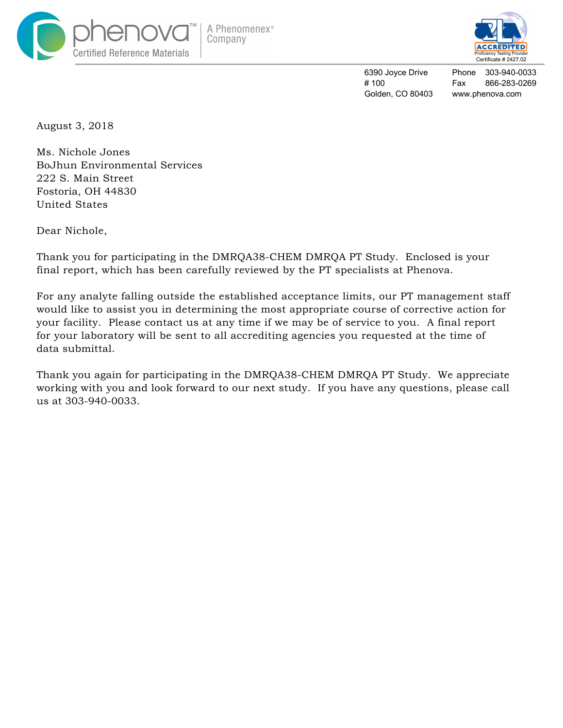



6390 Joyce Drive # 100 Golden, CO 80403

Phone 303-940-0033 Fax 866-283-0269 www.phenova.com

August 3, 2018

Ms. Nichole Jones BoJhun Environmental Services 222 S. Main Street Fostoria, OH 44830 United States

Dear Nichole,

Thank you for participating in the DMRQA38-CHEM DMRQA PT Study. Enclosed is your final report, which has been carefully reviewed by the PT specialists at Phenova.

For any analyte falling outside the established acceptance limits, our PT management staff would like to assist you in determining the most appropriate course of corrective action for your facility. Please contact us at any time if we may be of service to you. A final report for your laboratory will be sent to all accrediting agencies you requested at the time of data submittal.

Thank you again for participating in the DMRQA38-CHEM DMRQA PT Study. We appreciate working with you and look forward to our next study. If you have any questions, please call us at 303-940-0033.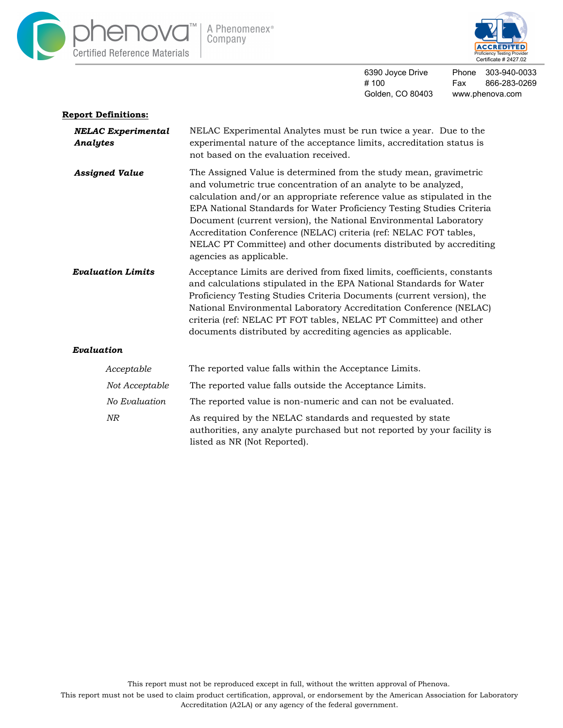



6390 Joyce Drive # 100 Golden, CO 80403 www.phenova.com

# Phone 303-940-0033 Fax 866-283-0269

#### **Report Definitions:** *NELAC Experimental Analytes* NELAC Experimental Analytes must be run twice a year. Due to the experimental nature of the acceptance limits, accreditation status is not based on the evaluation received. The Assigned Value is determined from the study mean, gravimetric and volumetric true concentration of an analyte to be analyzed, calculation and/or an appropriate reference value as stipulated in the EPA National Standards for Water Proficiency Testing Studies Criteria Document (current version), the National Environmental Laboratory Accreditation Conference (NELAC) criteria (ref: NELAC FOT tables, NELAC PT Committee) and other documents distributed by accrediting agencies as applicable. *Assigned Value Evaluation Limits* Acceptance Limits are derived from fixed limits, coefficients, constants and calculations stipulated in the EPA National Standards for Water Proficiency Testing Studies Criteria Documents (current version), the National Environmental Laboratory Accreditation Conference (NELAC) criteria (ref: NELAC PT FOT tables, NELAC PT Committee) and other documents distributed by accrediting agencies as applicable. *Evaluation Acceptable* The reported value falls within the Acceptance Limits. *No Evaluation NR* The reported value is non-numeric and can not be evaluated. As required by the NELAC standards and requested by state authorities, any analyte purchased but not reported by your facility is listed as NR (Not Reported). *Not Acceptable* The reported value falls outside the Acceptance Limits.

This report must not be reproduced except in full, without the written approval of Phenova.

This report must not be used to claim product certification, approval, or endorsement by the American Association for Laboratory Accreditation (A2LA) or any agency of the federal government.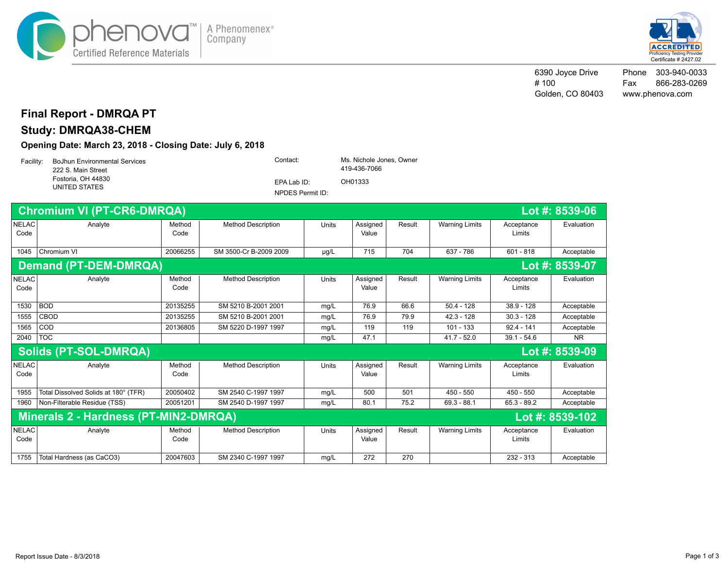



6390 Joyce Drive # 100 Golden, CO 80403 Phone 303-940-0033 Fax 866-283-0269 www.phenova.com

### **Final Report - DMRQA PT**

# **Study: DMRQA38-CHEM**

#### **Opening Date: March 23, 2018 - Closing Date: July 6, 2018**

| Facility: | <b>BoJhun Environmental Services</b><br>222 S. Main Street | Contact:         | Ms. Nichole Jones, Owner<br>419-436-7066 |  |
|-----------|------------------------------------------------------------|------------------|------------------------------------------|--|
|           | Fostoria, OH 44830<br>UNITED STATES                        | EPA Lab ID:      | OH01333                                  |  |
|           |                                                            | NPDES Permit ID: |                                          |  |

|                      | <b>Chromium VI (PT-CR6-DMRQA)</b>                          |                |                           |              |                   |        |                       |                      | Lot #: 8539-06 |
|----------------------|------------------------------------------------------------|----------------|---------------------------|--------------|-------------------|--------|-----------------------|----------------------|----------------|
| <b>NELAC</b><br>Code | Analyte                                                    | Method<br>Code | <b>Method Description</b> | <b>Units</b> | Assigned<br>Value | Result | <b>Warning Limits</b> | Acceptance<br>Limits | Evaluation     |
| 1045                 | Chromium VI                                                | 20066255       | SM 3500-Cr B-2009 2009    | $\mu$ g/L    | 715               | 704    | 637 - 786             | $601 - 818$          | Acceptable     |
|                      | <b>Demand (PT-DEM-DMRQA)</b><br>Lot #: 8539-07             |                |                           |              |                   |        |                       |                      |                |
| <b>NELAC</b><br>Code | Analyte                                                    | Method<br>Code | <b>Method Description</b> | <b>Units</b> | Assigned<br>Value | Result | <b>Warning Limits</b> | Acceptance<br>Limits | Evaluation     |
| 1530                 | BOD                                                        | 20135255       | SM 5210 B-2001 2001       | mq/L         | 76.9              | 66.6   | $50.4 - 128$          | $38.9 - 128$         | Acceptable     |
| 1555                 | <b>CBOD</b>                                                | 20135255       | SM 5210 B-2001 2001       | mg/L         | 76.9              | 79.9   | $42.3 - 128$          | $30.3 - 128$         | Acceptable     |
| 1565                 | COD                                                        | 20136805       | SM 5220 D-1997 1997       | mg/L         | 119               | 119    | $101 - 133$           | $92.4 - 141$         | Acceptable     |
| 2040                 | <b>TOC</b>                                                 |                |                           | mg/L         | 47.1              |        | $41.7 - 52.0$         | $39.1 - 54.6$        | <b>NR</b>      |
|                      | <b>Solids (PT-SOL-DMRQA)</b>                               |                |                           |              |                   |        |                       |                      | Lot #: 8539-09 |
| <b>NELAC</b><br>Code | Analyte                                                    | Method<br>Code | <b>Method Description</b> | <b>Units</b> | Assigned<br>Value | Result | <b>Warning Limits</b> | Acceptance<br>Limits | Evaluation     |
| 1955                 | Total Dissolved Solids at 180° (TFR)                       | 20050402       | SM 2540 C-1997 1997       | mg/L         | 500               | 501    | $450 - 550$           | $450 - 550$          | Acceptable     |
| 1960                 | Non-Filterable Residue (TSS)                               | 20051201       | SM 2540 D-1997 1997       | mg/L         | 80.1              | 75.2   | $69.3 - 88.1$         | $65.3 - 89.2$        | Acceptable     |
|                      | Minerals 2 - Hardness (PT-MIN2-DMRQA)<br>Lot #: $8539-102$ |                |                           |              |                   |        |                       |                      |                |
| <b>NELAC</b><br>Code | Analyte                                                    | Method<br>Code | <b>Method Description</b> | <b>Units</b> | Assigned<br>Value | Result | <b>Warning Limits</b> | Acceptance<br>Limits | Evaluation     |
| 1755                 | Total Hardness (as CaCO3)                                  | 20047603       | SM 2340 C-1997 1997       | mq/L         | 272               | 270    |                       | $232 - 313$          | Acceptable     |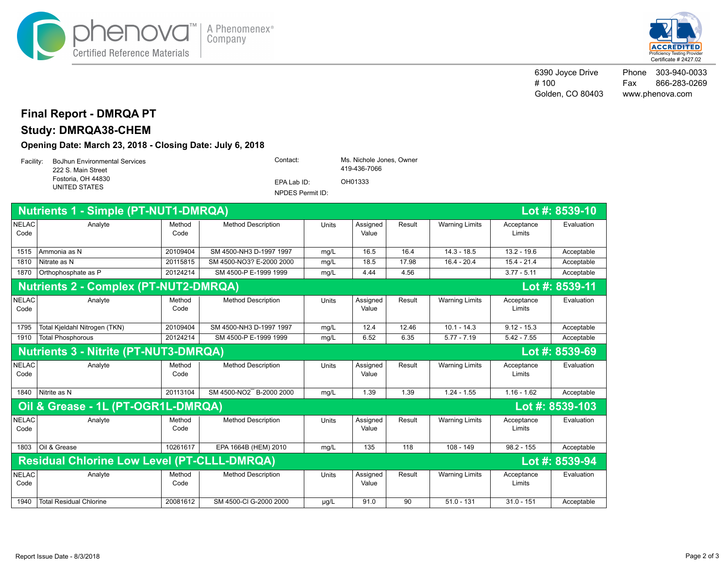



6390 Joyce Drive # 100 Golden, CO 80403 Phone 303-940-0033 Fax 866-283-0269 www.phenova.com

### **Final Report - DMRQA PT**

# **Study: DMRQA38-CHEM**

**Opening Date: March 23, 2018 - Closing Date: July 6, 2018**

| Facility: | <b>BoJhun Environmental Services</b><br>222 S. Main Street | Contact:         | Ms. Nichole Jones, Owner<br>419-436-7066 |  |
|-----------|------------------------------------------------------------|------------------|------------------------------------------|--|
|           | Fostoria, OH 44830<br>UNITED STATES                        | EPA Lab ID:      | OH01333                                  |  |
|           |                                                            | NPDES Permit ID: |                                          |  |

| <b>Nutrients 1 - Simple (PT-NUT1-DMRQA)</b><br>Lot #: $8539-10$ |                                                                      |                |                           |           |                   |        |                       |                      |                 |  |
|-----------------------------------------------------------------|----------------------------------------------------------------------|----------------|---------------------------|-----------|-------------------|--------|-----------------------|----------------------|-----------------|--|
| <b>NELAC</b><br>Code                                            | Analyte                                                              | Method<br>Code | <b>Method Description</b> | Units     | Assigned<br>Value | Result | <b>Warning Limits</b> | Acceptance<br>Limits | Evaluation      |  |
| 1515                                                            | Ammonia as N                                                         | 20109404       | SM 4500-NH3 D-1997 1997   | mq/L      | 16.5              | 16.4   | $14.3 - 18.5$         | $13.2 - 19.6$        | Acceptable      |  |
| 1810                                                            | Nitrate as N                                                         | 20115815       | SM 4500-NO3? E-2000 2000  | mg/L      | 18.5              | 17.98  | $16.4 - 20.4$         | $15.4 - 21.4$        | Acceptable      |  |
| 1870                                                            | Orthophosphate as P                                                  | 20124214       | SM 4500-P E-1999 1999     | mg/L      | 4.44              | 4.56   |                       | $3.77 - 5.11$        | Acceptable      |  |
| <b>Nutrients 2 - Complex (PT-NUT2-DMRQA)</b><br>Lot #: 8539-11  |                                                                      |                |                           |           |                   |        |                       |                      |                 |  |
| <b>NELAC</b><br>Code                                            | Analyte                                                              | Method<br>Code | <b>Method Description</b> | Units     | Assigned<br>Value | Result | <b>Warning Limits</b> | Acceptance<br>Limits | Evaluation      |  |
| 1795                                                            | Total Kjeldahl Nitrogen (TKN)                                        | 20109404       | SM 4500-NH3 D-1997 1997   | mg/L      | 12.4              | 12.46  | $10.1 - 14.3$         | $9.12 - 15.3$        | Acceptable      |  |
| 1910                                                            | <b>Total Phosphorous</b>                                             | 20124214       | SM 4500-P E-1999 1999     | mg/L      | 6.52              | 6.35   | $5.77 - 7.19$         | $5.42 - 7.55$        | Acceptable      |  |
| <b>Nutrients 3 - Nitrite (PT-NUT3-DMRQA)</b><br>Lot #: 8539-69  |                                                                      |                |                           |           |                   |        |                       |                      |                 |  |
| <b>NELAC</b><br>Code                                            | Analyte                                                              | Method<br>Code | <b>Method Description</b> | Units     | Assigned<br>Value | Result | <b>Warning Limits</b> | Acceptance<br>Limits | Evaluation      |  |
| 1840                                                            | Nitrite as N                                                         | 20113104       | SM 4500-NO2 B-2000 2000   | mq/L      | 1.39              | 1.39   | $1.24 - 1.55$         | $1.16 - 1.62$        | Acceptable      |  |
|                                                                 | Oil & Grease - 1L (PT-OGR1L-DMRQA)                                   |                |                           |           |                   |        |                       |                      | Lot #: 8539-103 |  |
| <b>NELAC</b><br>Code                                            | Analyte                                                              | Method<br>Code | <b>Method Description</b> | Units     | Assigned<br>Value | Result | <b>Warning Limits</b> | Acceptance<br>Limits | Evaluation      |  |
| 1803                                                            | Oil & Grease                                                         | 10261617       | EPA 1664B (HEM) 2010      | mg/L      | 135               | 118    | $108 - 149$           | $98.2 - 155$         | Acceptable      |  |
|                                                                 | <b>Residual Chlorine Low Level (PT-CLLL-DMRQA)</b><br>Lot #: 8539-94 |                |                           |           |                   |        |                       |                      |                 |  |
| <b>NELAC</b><br>Code                                            | Analyte                                                              | Method<br>Code | <b>Method Description</b> | Units     | Assigned<br>Value | Result | <b>Warning Limits</b> | Acceptance<br>Limits | Evaluation      |  |
| 1940                                                            | <b>Total Residual Chlorine</b>                                       | 20081612       | SM 4500-CI G-2000 2000    | $\mu$ g/L | 91.0              | 90     | $51.0 - 131$          | $31.0 - 151$         | Acceptable      |  |